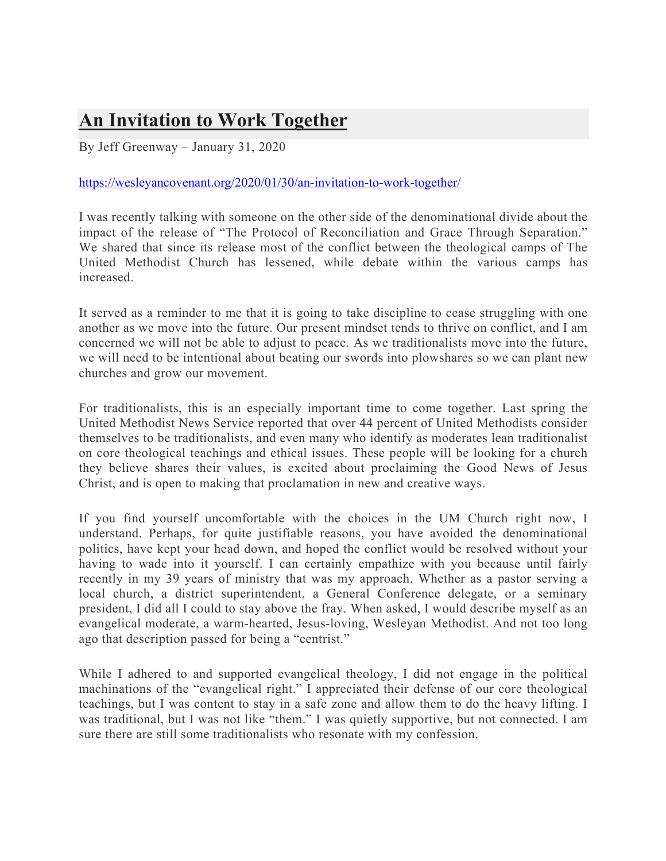## **An Invitation to Work Together**

By Jeff Greenway – January 31, 2020

## https://wesleyancovenant.org/2020/01/30/an-invitation-to-work-together/

I was recently talking with someone on the other side of the denominational divide about the impact of the release of "The Protocol of Reconciliation and Grace Through Separation." We shared that since its release most of the conflict between the theological camps of The United Methodist Church has lessened, while debate within the various camps has increased.

It served as a reminder to me that it is going to take discipline to cease struggling with one another as we move into the future. Our present mindset tends to thrive on conflict, and I am concerned we will not be able to adjust to peace. As we traditionalists move into the future, we will need to be intentional about beating our swords into plowshares so we can plant new churches and grow our movement.

For traditionalists, this is an especially important time to come together. Last spring the United Methodist News Service reported that over 44 percent of United Methodists consider themselves to be traditionalists, and even many who identify as moderates lean traditionalist on core theological teachings and ethical issues. These people will be looking for a church they believe shares their values, is excited about proclaiming the Good News of Jesus Christ, and is open to making that proclamation in new and creative ways.

If you find yourself uncomfortable with the choices in the UM Church right now, I understand. Perhaps, for quite justifiable reasons, you have avoided the denominational politics, have kept your head down, and hoped the conflict would be resolved without your having to wade into it yourself. I can certainly empathize with you because until fairly recently in my 39 years of ministry that was my approach. Whether as a pastor serving a local church, a district superintendent, a General Conference delegate, or a seminary president, I did all I could to stay above the fray. When asked, I would describe myself as an evangelical moderate, a warm-hearted, Jesus-loving, Wesleyan Methodist. And not too long ago that description passed for being a "centrist."

While I adhered to and supported evangelical theology, I did not engage in the political machinations of the "evangelical right." I appreciated their defense of our core theological teachings, but I was content to stay in a safe zone and allow them to do the heavy lifting. I was traditional, but I was not like "them." I was quietly supportive, but not connected. I am sure there are still some traditionalists who resonate with my confession.